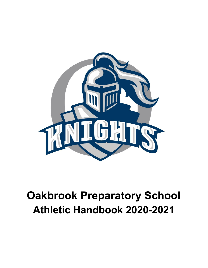

# **Oakbrook Preparatory School Athletic Handbook 2020-2021**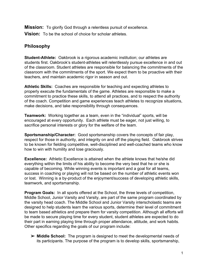**Mission:** To glorify God through a relentless pursuit of excellence.

**Vision:** To be the school of choice for scholar athletes.

# **Philosophy**

**Student-Athlete:** Oakbrook is a rigorous academic institution; our athletes are students first. Oakbrook's student-athletes will relentlessly pursue excellence in and out of the classroom. Student athletes are responsible for balancing the commitments of the classroom with the commitments of the sport. We expect them to be proactive with their teachers, and maintain academic rigor in season and out.

**Athletic Skills:** Coaches are responsible for teaching and expecting athletes to properly execute the fundamentals of the game. Athletes are responsible to make a commitment to practice these skills, to attend all practices, and to respect the authority of the coach. Competition and game experiences teach athletes to recognize situations, make decisions, and take responsibility through consequences.

**Teamwork:** Working together as a team, even in the "individual" sports, will be encouraged at every opportunity. Each athlete must be eager, not just willing, to sacrifice personal interests or glory for the welfare of the team.

**Sportsmanship/Character:** Good sportsmanship covers the concepts of fair play, respect for those in authority, and integrity on and off the playing field. Oakbrook strives to be known for fielding competitive, well-disciplined and well-coached teams who know how to win with humility and lose graciously.

**Excellence:** Athletic Excellence is attained when the athlete knows that he/she did everything within the limits of his ability to become the very best that he or she is capable of becoming. While winning events is important and a goal for all teams, success in coaching or playing will not be based on the number of athletic events won or lost. Winning is a by-product of the enjoyment/success of developing athletic skills, teamwork, and sportsmanship.

**Program Goals:** In all sports offered at the School, the three levels of competition, Middle School, Junior Varsity and Varsity, are part of the same program coordinated by the varsity head coach. The Middle School and Junior Varsity interscholastic teams are designed to help students learn the various sports, determine their level of commitment to team based athletics and prepare them for varsity competition. Although all efforts will be made to secure playing time for every student, student athletes are expected to do their part in earning playing time through proper attendance, attitude, and work habits. Other specifics regarding the goals of our program include:

➢ **Middle School:** The program is designed to meet the developmental needs of its participants. The purpose of the program is to develop skills, sportsmanship,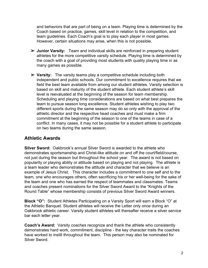and behaviors that are part of being on a team. Playing time is determined by the Coach based on practice, games, skill level in relation to the competition, and team guidelines. Each Coach's goal is to play each player in most games. However, certain situations may arise, when this is not possible.

- ➢ **Junior Varsity:** Team and individual skills are reinforced in preparing student athletes for the more competitive varsity schedule. Playing time is determined by the coach with a goal of providing most students with quality playing time in as many games as possible.
- ➢ **Varsity:** The varsity teams play a competitive schedule including both independent and public schools. Our commitment to excellence requires that we field the best team available from among our student athletes. Varsity selection is based on skill and maturity of the student athlete. Each student athlete's skill level is reevaluated at the beginning of the season for team membership. Scheduling and playing time considerations are based on what best prepares the team to pursue season long excellence. Student athletes wishing to play two different sports during the same season may do so only with the approval of the athletic director and the respective head coaches and must make a firm commitment at the beginning of the season to one of the teams in case of a conflict. In many cases, it may not be possible for a student athlete to participate on two teams during the same season.

#### **Athletic Awards**

**Silver Sword:** Oakbrook's annual Silver Sword is awarded to the athlete who demonstrates sportsmanship and Christ-like attitude on and off the court/field/course, not just during the season but throughout the school year. The award is not based on popularity or playing ability or attitude based on playing and not playing. The athlete is a team leader who demonstrates the attitude and character that we believe is an example of Jesus Christ. This character includes a commitment to one self and to the team, one who encourages others, often sacrificing his or her well-being for the sake of the team and one who has earned the respect of teammates and classmates. Teams and coaches present nominations for the Silver Sword Award to the "Knights of the Round Table" whose membership consists of previous Silver Sword Award winners.

**Block "O":** Student Athletes Participating on a Varsity Sport will earn a Block "O" at the Athletic Banquet. Student athletes will receive the Letter only once during an Oakbrook athletic career. Varsity student athletes will thereafter receive a silver service bar each letter year.

**Coach's Award:** Varsity coaches recognize and thank the athlete who consistently demonstrates hard work, commitment, discipline - the key character traits the coaches have worked to instill throughout the team. This person may also be nominated for Silver Sword.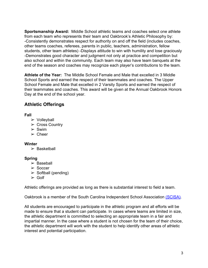**Sportsmanship Award:** Middle School athletic teams and coaches select one athlete from each team who represents their team and Oakbrook's Athletic Philosophy by: -Consistently demonstrates respect for authority on and off the field (includes coaches, other teams coaches, referees, parents in public, teachers, administration, fellow students, other team athletes) -Displays attitude to win with humility and lose graciously -Demonstrates good character and judgment not only at practice and competition but also school and within the community. Each team may also have team banquets at the end of the season and coaches may recognize each player's contributions to the team.

**Athlete of the Year:** The Middle School Female and Male that excelled in 3 Middle School Sports and earned the respect of their teammates and coaches. The Upper School Female and Male that excelled in 2 Varsity Sports and earned the respect of their teammates and coaches. This award will be given at the Annual Oakbrook Honors Day at the end of the school year.

# **Athletic Offerings**

#### **Fall**

- ➢ Volleyball
- $\triangleright$  Cross Country
- $\triangleright$  Swim
- $\triangleright$  Cheer

#### **Winter**

 $\triangleright$  Basketball

#### **Spring**

- $\triangleright$  Baseball
- ➢ Soccer
- $\triangleright$  Softball (pending)
- $\ge$  Golf

Athletic offerings are provided as long as there is substantial interest to field a team.

Oakbrook is a member of the South Carolina Independent School Association [\(SCISA\).](http://www.scisa.org/athletics)

All students are encouraged to participate in the athletic program and all efforts will be made to ensure that a student can participate. In cases where teams are limited in size, the athletic department is committed to selecting an appropriate team in a fair and impartial manner. In the case where a student is not chosen for the team of their choice, the athletic department will work with the student to help identify other areas of athletic interest and potential participation.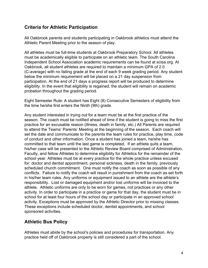# **Criteria for Athletic Participation**

All Oakbrook parents and students participating in Oakbrook athletics must attend the Athletic Parent Meeting prior to the season of play.

All athletes must be full-time students at Oakbrook Preparatory School. All athletes must be academically eligible to participate on an athletic team. The South Carolina Independent School Association academic requirements can be found at scisa.org. At Oakbrook, all student athletes are required to maintain a minimum GPA of 2.0 (C-average) with no failing grade at the end of each 9 week grading period. Any student below the minimum requirement will be placed on a 21 day suspension from participation. At the end of 21 days a progress report will be produced to determine eligibility. In the event that eligibility is regained, the student will remain on academic probation throughout the grading period.

Eight Semester Rule: A student has Eight (8) Consecutive Semesters of eligibility from the time he/she first enters the Ninth (9th) grade.

Any student interested in trying out for a team must be at the first practice of the season. The coach must be notified ahead of time if the student is going to miss the first practice for an excusable reason (illness, death in family, etc.) All Parents are required to attend the Teams' Parents' Meeting at the beginning of the season. Each coach will set the date and communicate to the parents the team rules for practice, play time, code of conduct and other information. Once a student has joined a team, he/she has committed to that team until the last game is completed. If an athlete quits a team, his/her case will be presented to the Athletic Review Board comprised of Administration, Faculty, and fellow Athletes to determine eligibility for Athletics for the remainder of the school year. Athletes must be at every practice for the whole practice unless excused for: doctor and dentist appointment, personal sickness, death in the family, previously scheduled church commitment. One must notify the coach as soon as possible of any conflicts. Failure to notify the coach will result in punishment from the coach as set forth in his/her team rules. Any uniforms or equipment issued to an athlete are the athlete's responsibility. Lost or damaged equipment and/or lost uniforms will be invoiced to the athlete. Athletic uniforms are only to be worn for games, not practices or any other activity. In order to participate in a practice or game for that day, the student must be in school for at least four hours of the school day or participate in an approved school activity. Exceptions must be approved by the Athletic Director prior to missing classes. These exceptions include scheduled doctor, dentist appointments, and school sponsored activities.

# **Athletic Bus Policy**

Athletes must abide by the school's policies and procedures for transportation. Any practice held off of Oakbrook property is still considered a part of the school.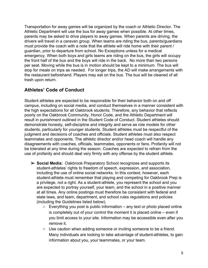Transportation for away games will be organized by the coach or Athletic Director. The Athletic Department will use the bus for away games when possible. At other times, parents may be asked to drive players to away games. When parents are driving, the drivers will travel in a caravan group. When teams are riding the bus, parents/guardians must provide the coach with a note that the athlete will ride home with their parent / guardian, prior to departure from school. No Exceptions unless for a medical emergency. When both boys and girls teams are riding on the bus, the girls will occupy the front half of the bus and the boys will ride in the back. No more than two persons per seat. Moving while the bus is in motion should be kept to a minimum. The bus will stop for meals on trips as needed. For longer trips, the AD will make arrangements with the restaurant beforehand. Players may eat on the bus. The bus will be cleaned of all trash upon return.

# **Athletes' Code of Conduct**

Student athletes are expected to be responsible for their behavior both on and off campus, including on social media, and conduct themselves in a manner consistent with the high expectations for all Oakbrook students. Therefore, any behavior that reflects poorly on the Oakbrook Community, Honor Code, and the Athletic Department will result in punishment outlined in the Student Code of Conduct. Student athletes should demonstrate honesty, self-discipline and integrity and serve as role models for other students, particularly for younger students. Student athletes must be respectful of the judgment and decisions of coaches and officials. Student athletes must also respect teammates and opponents. The athletic director and/or head coach will handle any disagreements with coaches, officials, teammates, opponents or fans. Profanity will not be tolerated at any time during the season. Coaches are expected to refrain from the use of profanity and should deal very firmly with any offense by the student athlete.

- ➢ **Social Media:** Oakbrook Preparatory School recognizes and supports its student-athletes' rights to freedom of speech, expression, and association, including the use of online social networks. In this context, however, each student-athlete must remember that playing and competing for Oakbrook Prep is a privilege, not a right. As a student-athlete, you represent the school and you are expected to portray yourself, your team, and the school in a positive manner at all times. Any online postings must therefore be consistent with federal and state laws, and team, department, and school rules regulations and policies (including the Guidelines listed below).
	- $\circ$  Everything you post is public information any text or photo placed online is completely out of your control the moment it is placed online – even if you limit access to your site. Information may be accessible even after you remove it.
	- Use caution when adding someone or inviting someone to be a friend. Many individuals are looking to take advantage of student-athletes, to gain information about you, your teammates, or your team.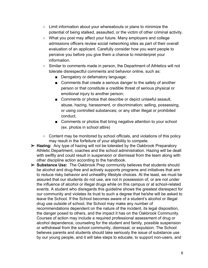- Limit information about your whereabouts or plans to minimize the potential of being stalked, assaulted, or the victim of other criminal activity.
- What you post may affect your future. Many employers and college admissions officers review social networking sites as part of their overall evaluation of an applicant. Carefully consider how you want people to perceive you before you give them a chance to misinterpret your information.
- Similar to comments made in person, the Department of Athletics will not tolerate disrespectful comments and behavior online, such as:
	- Derogatory or defamatory language;
	- Comments that create a serious danger to the safety of another person or that constitute a credible threat of serious physical or emotional injury to another person;
	- Comments or photos that describe or depict unlawful assault, abuse, hazing, harassment, or discrimination; selling, possessing, or using controlled substances; or any other illegal or prohibited conduct.
	- Comments or photos that bring negative attention to your school (ex. photos in school attire)
- Content may be monitored by school officials, and violations of this policy may result in the forfeiture of your eligibility to compete.
- ➢ **Hazing:** Any type of hazing will not be tolerated by the Oakbrook Preparatory Athletic Department, coaches and the school administration. Hazing will be dealt with swiftly and could result in suspension or dismissal from the team along with other discipline action according to the handbook.
- ➢ **Substance Use:** The Oakbrook Prep community believes that students should be alcohol and drug-free and actively supports programs and initiatives that aim to reduce risky behavior and unhealthy lifestyle choices. At the least, we must be assured that our students do not use, are not in possession of, or are not under the influence of alcohol or illegal drugs while on this campus or at school-related events. A student who disregards this guideline shows the greatest disrespect for our community and violates its trust to such a degree that he/she will be asked to leave the School. If the School becomes aware of a student's alcohol or illegal drug use outside of school, the School may make any number of recommendations dependent on the nature of the incident, its legal disposition, the danger posed to others, and the impact it has on the Oakbrook Community. Courses of action may include a required professional assessment of drug or alcohol dependence, counseling for the student and family, possible suspension or withdrawal from the school community, dismissal, or expulsion. The School believes parents and students should take seriously the issue of substance use by our young people, and it will take steps to educate, to support non-users, and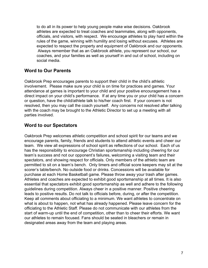to do all in its power to help young people make wise decisions. Oakbrook athletes are expected to treat coaches and teammates, along with opponents, officials, and visitors, with respect. We encourage athletes to play hard within the rules of the game, winning with humility and losing without excuses. Athletes are expected to respect the property and equipment of Oakbrook and our opponents. Always remember that as an Oakbrook athlete, you represent our school, our coaches, and your families as well as yourself in and out of school, including on social media.

### **Word to Our Parents**

Oakbrook Prep encourages parents to support their child in the child's athletic involvement. Please make sure your child is on time for practices and games. Your attendance at games is important to your child and your positive encouragement has a direct impact on your child's performance. If at any time you or your child has a concern or question, have the child/athlete talk to his/her coach first. If your concern is not resolved, then you may call the coach yourself. Any concerns not resolved after talking with the coach may be brought to the Athletic Director to set up a meeting with all parties involved.

# **Word to our Spectators**

Oakbrook Prep welcomes athletic competition and school spirit for our teams and we encourage parents, family, friends and students to attend athletic events and cheer our team. We view all expressions of school spirit as reflections of our school. Each of us has the responsibility to encourage Christian sportsmanship including cheering for our team's success and not our opponent's failures, welcoming a visiting team and their spectators, and showing respect for officials. Only members of the athletic team are permitted to sit on a team's bench. Only timers and official score keepers may sit at the scorer's table/bench. No outside food or drinks. Concessions will be available for purchase at each Home Basketball game. Please throw away your trash after games. Athletes and coaches are expected to exhibit good sportsmanship at all times. It is also essential that spectators exhibit good sportsmanship as well and adhere to the following guidelines during competition. Always cheer in a positive manner. Positive cheering leads to positive results. Do not talk to officials before, during, or after the competition. Keep all comments about officiating to a minimum. We want athletes to concentrate on what is about to happen, not what has already happened. Please leave concern for the officiating to the Athletic Staff. Please do not communicate with our athletes from the start of warm-up until the end of competition, other than to cheer their efforts. We want our athletes to remain focused. Fans should be seated in bleachers or remain in designated areas away from the team and playing areas.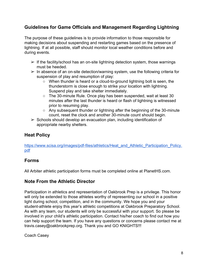# **Guidelines for Game Officials and Management Regarding Lightning**

The purpose of these guidelines is to provide information to those responsible for making decisions about suspending and restarting games based on the presence of lightning. If at all possible, staff should monitor local weather conditions before and during events.

- $\triangleright$  If the facility/school has an on-site lightning detection system, those warnings must be heeded.
- $\triangleright$  In absence of an on-site detection/warning system, use the following criteria for suspension of play and resumption of play:
	- When thunder is heard or a cloud-to-ground lightning bolt is seen, the thunderstorm is close enough to strike your location with lightning. Suspend play and take shelter immediately.
	- The 30-minute Rule. Once play has been suspended, wait at least 30 minutes after the last thunder is heard or flash of lightning is witnessed prior to resuming play.
	- Any subsequent thunder or lightning after the beginning of the 30-minute count, reset the clock and another 30-minute count should begin.
- $\triangleright$  Schools should develop an evacuation plan, including identification of appropriate nearby shelters.

# **Heat Policy**

[https://www.scisa.org/images/pdf-files/athletics/Heat\\_and\\_Athletic\\_Participation\\_Policy.](https://www.scisa.org/images/pdf-files/athletics/Heat_and_Athletic_Participation_Policy.pdf) [pdf](https://www.scisa.org/images/pdf-files/athletics/Heat_and_Athletic_Participation_Policy.pdf)

# **Forms**

All Arbiter athletic participation forms must be completed online at PlanetHS.com.

# **Note From the Athletic Director**

Participation in athletics and representation of Oakbrook Prep is a privilege. This honor will only be extended to those athletes worthy of representing our school in a positive light during school, competition, and in the community. We hope you and your student-athlete enjoy this year's athletic competitions at Oakbrook Preparatory School. As with any team, our students will only be successful with your support. So please be involved in your child's athletic participation. Contact his/her coach to find out how you can help support the team. If you have any questions or concerns please contact me at travis.casey@oakbrookprep.org. Thank you and GO KNIGHTS!!!

Coach Casey